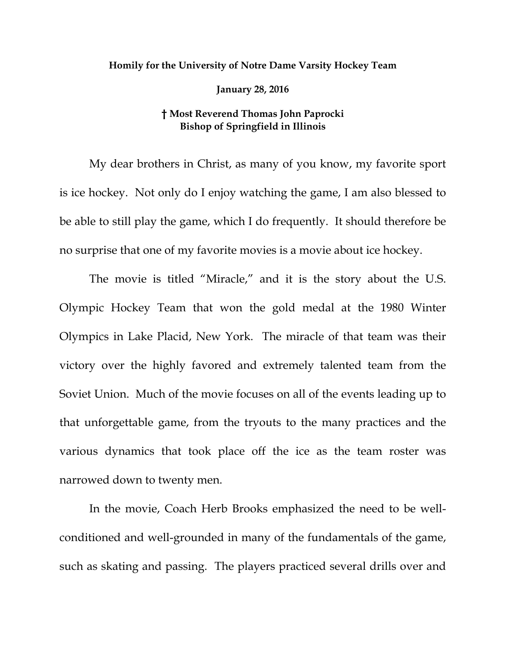## **Homily for the University of Notre Dame Varsity Hockey Team**

**January 28, 2016** 

## **† Most Reverend Thomas John Paprocki Bishop of Springfield in Illinois**

My dear brothers in Christ, as many of you know, my favorite sport is ice hockey. Not only do I enjoy watching the game, I am also blessed to be able to still play the game, which I do frequently. It should therefore be no surprise that one of my favorite movies is a movie about ice hockey.

The movie is titled "Miracle," and it is the story about the U.S. Olympic Hockey Team that won the gold medal at the 1980 Winter Olympics in Lake Placid, New York. The miracle of that team was their victory over the highly favored and extremely talented team from the Soviet Union. Much of the movie focuses on all of the events leading up to that unforgettable game, from the tryouts to the many practices and the various dynamics that took place off the ice as the team roster was narrowed down to twenty men.

In the movie, Coach Herb Brooks emphasized the need to be wellconditioned and well-grounded in many of the fundamentals of the game, such as skating and passing. The players practiced several drills over and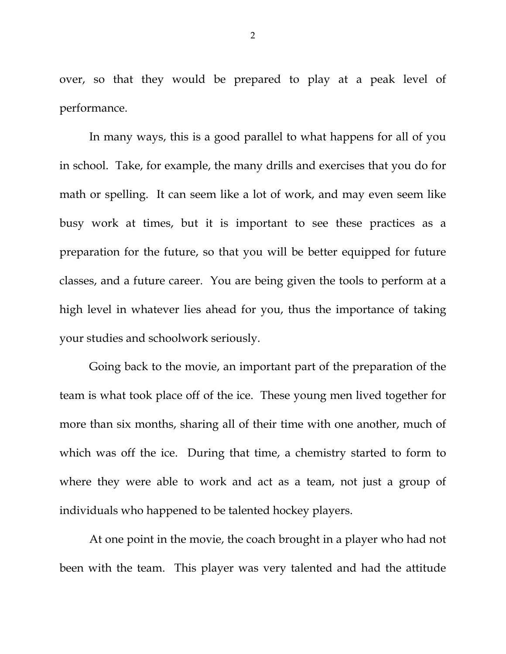over, so that they would be prepared to play at a peak level of performance.

In many ways, this is a good parallel to what happens for all of you in school. Take, for example, the many drills and exercises that you do for math or spelling. It can seem like a lot of work, and may even seem like busy work at times, but it is important to see these practices as a preparation for the future, so that you will be better equipped for future classes, and a future career. You are being given the tools to perform at a high level in whatever lies ahead for you, thus the importance of taking your studies and schoolwork seriously.

Going back to the movie, an important part of the preparation of the team is what took place off of the ice. These young men lived together for more than six months, sharing all of their time with one another, much of which was off the ice. During that time, a chemistry started to form to where they were able to work and act as a team, not just a group of individuals who happened to be talented hockey players.

At one point in the movie, the coach brought in a player who had not been with the team. This player was very talented and had the attitude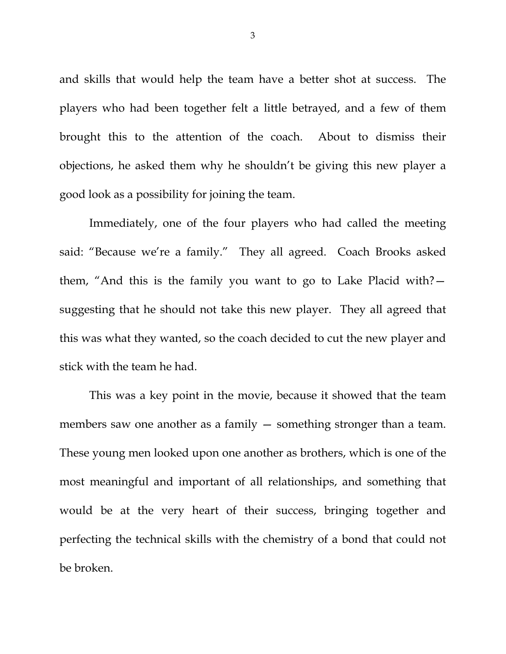and skills that would help the team have a better shot at success. The players who had been together felt a little betrayed, and a few of them brought this to the attention of the coach. About to dismiss their objections, he asked them why he shouldn't be giving this new player a good look as a possibility for joining the team.

Immediately, one of the four players who had called the meeting said: "Because we're a family." They all agreed. Coach Brooks asked them, "And this is the family you want to go to Lake Placid with? suggesting that he should not take this new player. They all agreed that this was what they wanted, so the coach decided to cut the new player and stick with the team he had.

This was a key point in the movie, because it showed that the team members saw one another as a family  $-$  something stronger than a team. These young men looked upon one another as brothers, which is one of the most meaningful and important of all relationships, and something that would be at the very heart of their success, bringing together and perfecting the technical skills with the chemistry of a bond that could not be broken.